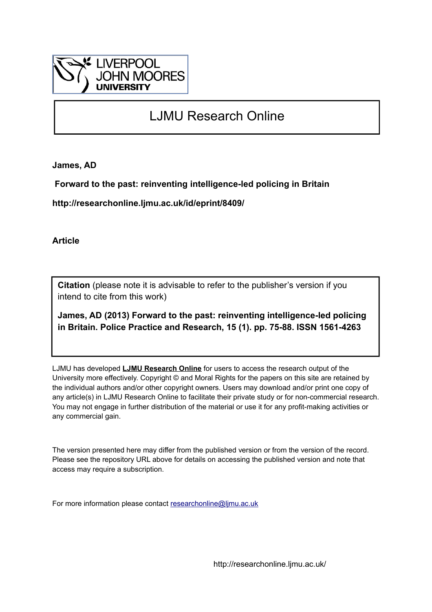

# LJMU Research Online

**James, AD**

 **Forward to the past: reinventing intelligence-led policing in Britain**

**http://researchonline.ljmu.ac.uk/id/eprint/8409/**

**Article**

**Citation** (please note it is advisable to refer to the publisher's version if you intend to cite from this work)

**James, AD (2013) Forward to the past: reinventing intelligence-led policing in Britain. Police Practice and Research, 15 (1). pp. 75-88. ISSN 1561-4263** 

LJMU has developed **[LJMU Research Online](http://researchonline.ljmu.ac.uk/)** for users to access the research output of the University more effectively. Copyright © and Moral Rights for the papers on this site are retained by the individual authors and/or other copyright owners. Users may download and/or print one copy of any article(s) in LJMU Research Online to facilitate their private study or for non-commercial research. You may not engage in further distribution of the material or use it for any profit-making activities or any commercial gain.

The version presented here may differ from the published version or from the version of the record. Please see the repository URL above for details on accessing the published version and note that access may require a subscription.

For more information please contact [researchonline@ljmu.ac.uk](mailto:researchonline@ljmu.ac.uk)

http://researchonline.ljmu.ac.uk/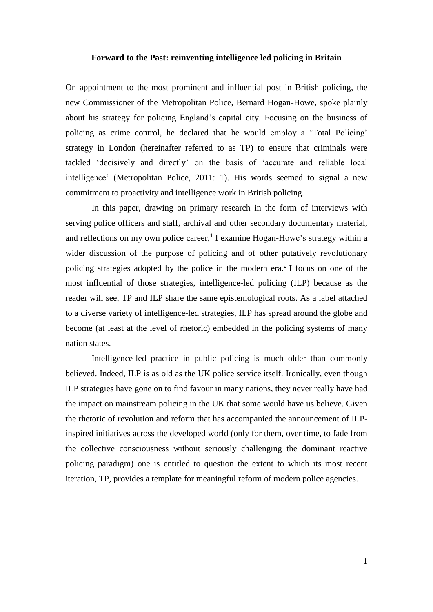#### **Forward to the Past: reinventing intelligence led policing in Britain**

On appointment to the most prominent and influential post in British policing, the new Commissioner of the Metropolitan Police, Bernard Hogan-Howe, spoke plainly about his strategy for policing England's capital city. Focusing on the business of policing as crime control, he declared that he would employ a 'Total Policing' strategy in London (hereinafter referred to as TP) to ensure that criminals were tackled 'decisively and directly' on the basis of 'accurate and reliable local intelligence' (Metropolitan Police, 2011: 1). His words seemed to signal a new commitment to proactivity and intelligence work in British policing.

In this paper, drawing on primary research in the form of interviews with serving police officers and staff, archival and other secondary documentary material, and reflections on my own police career,<sup>1</sup> I examine Hogan-Howe's strategy within a wider discussion of the purpose of policing and of other putatively revolutionary policing strategies adopted by the police in the modern era. 2 I focus on one of the most influential of those strategies, intelligence-led policing (ILP) because as the reader will see, TP and ILP share the same epistemological roots. As a label attached to a diverse variety of intelligence-led strategies, ILP has spread around the globe and become (at least at the level of rhetoric) embedded in the policing systems of many nation states.

Intelligence-led practice in public policing is much older than commonly believed. Indeed, ILP is as old as the UK police service itself. Ironically, even though ILP strategies have gone on to find favour in many nations, they never really have had the impact on mainstream policing in the UK that some would have us believe. Given the rhetoric of revolution and reform that has accompanied the announcement of ILPinspired initiatives across the developed world (only for them, over time, to fade from the collective consciousness without seriously challenging the dominant reactive policing paradigm) one is entitled to question the extent to which its most recent iteration, TP, provides a template for meaningful reform of modern police agencies.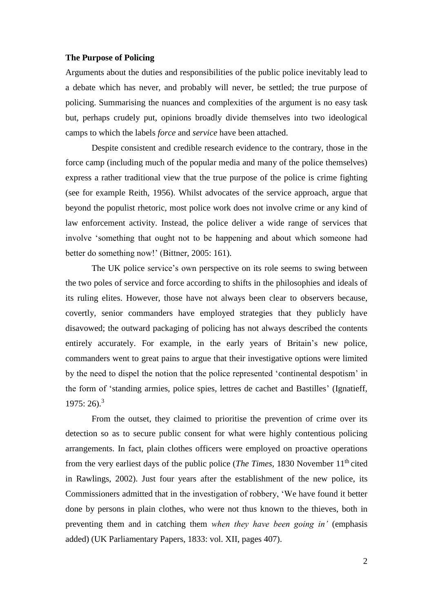### **The Purpose of Policing**

Arguments about the duties and responsibilities of the public police inevitably lead to a debate which has never, and probably will never, be settled; the true purpose of policing. Summarising the nuances and complexities of the argument is no easy task but, perhaps crudely put, opinions broadly divide themselves into two ideological camps to which the labels *force* and *service* have been attached.

Despite consistent and credible research evidence to the contrary, those in the force camp (including much of the popular media and many of the police themselves) express a rather traditional view that the true purpose of the police is crime fighting (see for example Reith, 1956). Whilst advocates of the service approach, argue that beyond the populist rhetoric, most police work does not involve crime or any kind of law enforcement activity. Instead, the police deliver a wide range of services that involve 'something that ought not to be happening and about which someone had better do something now!' (Bittner, 2005: 161).

The UK police service's own perspective on its role seems to swing between the two poles of service and force according to shifts in the philosophies and ideals of its ruling elites. However, those have not always been clear to observers because, covertly, senior commanders have employed strategies that they publicly have disavowed; the outward packaging of policing has not always described the contents entirely accurately. For example, in the early years of Britain's new police, commanders went to great pains to argue that their investigative options were limited by the need to dispel the notion that the police represented 'continental despotism' in the form of 'standing armies, police spies, lettres de cachet and Bastilles' (Ignatieff,  $1975: 26$ .<sup>3</sup>

From the outset, they claimed to prioritise the prevention of crime over its detection so as to secure public consent for what were highly contentious policing arrangements. In fact, plain clothes officers were employed on proactive operations from the very earliest days of the public police (*The Times*, 1830 November 11<sup>th</sup> cited in Rawlings, 2002). Just four years after the establishment of the new police, its Commissioners admitted that in the investigation of robbery, 'We have found it better done by persons in plain clothes, who were not thus known to the thieves, both in preventing them and in catching them *when they have been going in'* (emphasis added) (UK Parliamentary Papers, 1833: vol. XII, pages 407).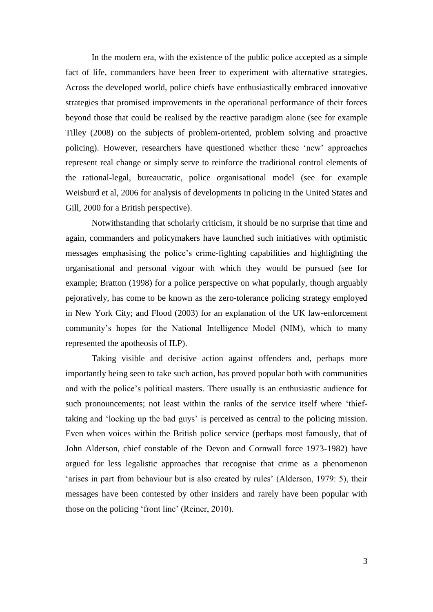In the modern era, with the existence of the public police accepted as a simple fact of life, commanders have been freer to experiment with alternative strategies. Across the developed world, police chiefs have enthusiastically embraced innovative strategies that promised improvements in the operational performance of their forces beyond those that could be realised by the reactive paradigm alone (see for example Tilley (2008) on the subjects of problem-oriented, problem solving and proactive policing). However, researchers have questioned whether these 'new' approaches represent real change or simply serve to reinforce the traditional control elements of the rational-legal, bureaucratic, police organisational model (see for example Weisburd et al, 2006 for analysis of developments in policing in the United States and Gill, 2000 for a British perspective).

Notwithstanding that scholarly criticism, it should be no surprise that time and again, commanders and policymakers have launched such initiatives with optimistic messages emphasising the police's crime-fighting capabilities and highlighting the organisational and personal vigour with which they would be pursued (see for example; Bratton (1998) for a police perspective on what popularly, though arguably pejoratively, has come to be known as the zero-tolerance policing strategy employed in New York City; and Flood (2003) for an explanation of the UK law-enforcement community's hopes for the National Intelligence Model (NIM), which to many represented the apotheosis of ILP).

Taking visible and decisive action against offenders and, perhaps more importantly being seen to take such action, has proved popular both with communities and with the police's political masters. There usually is an enthusiastic audience for such pronouncements; not least within the ranks of the service itself where 'thieftaking and 'locking up the bad guys' is perceived as central to the policing mission. Even when voices within the British police service (perhaps most famously, that of John Alderson, chief constable of the Devon and Cornwall force 1973-1982) have argued for less legalistic approaches that recognise that crime as a phenomenon 'arises in part from behaviour but is also created by rules' (Alderson, 1979: 5), their messages have been contested by other insiders and rarely have been popular with those on the policing 'front line' (Reiner, 2010).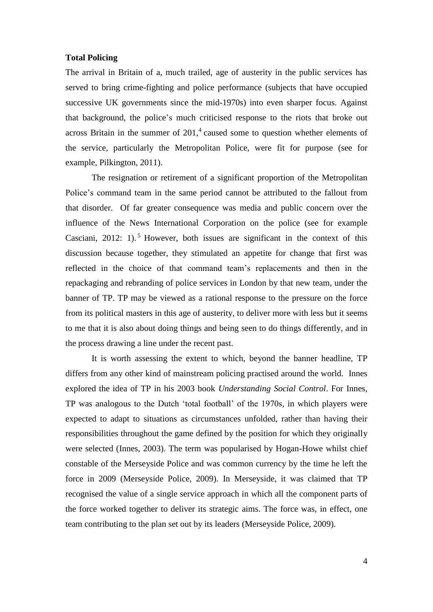## **Total Policing**

The arrival in Britain of a, much trailed, age of austerity in the public services has served to bring crime-fighting and police performance (subjects that have occupied successive UK governments since the mid-1970s) into even sharper focus. Against that background, the police's much criticised response to the riots that broke out across Britain in the summer of 201, 4 caused some to question whether elements of the service, particularly the Metropolitan Police, were fit for purpose (see for example, Pilkington, 2011).

The resignation or retirement of a significant proportion of the Metropolitan Police's command team in the same period cannot be attributed to the fallout from that disorder. Of far greater consequence was media and public concern over the influence of the News International Corporation on the police (see for example Casciani, 2012: 1). <sup>5</sup> However, both issues are significant in the context of this discussion because together, they stimulated an appetite for change that first was reflected in the choice of that command team's replacements and then in the repackaging and rebranding of police services in London by that new team, under the banner of TP. TP may be viewed as a rational response to the pressure on the force from its political masters in this age of austerity, to deliver more with less but it seems to me that it is also about doing things and being seen to do things differently, and in the process drawing a line under the recent past.

It is worth assessing the extent to which, beyond the banner headline, TP differs from any other kind of mainstream policing practised around the world. Innes explored the idea of TP in his 2003 book *Understanding Social Control*. For Innes, TP was analogous to the Dutch 'total football' of the 1970s, in which players were expected to adapt to situations as circumstances unfolded, rather than having their responsibilities throughout the game defined by the position for which they originally were selected (Innes, 2003). The term was popularised by Hogan-Howe whilst chief constable of the Merseyside Police and was common currency by the time he left the force in 2009 (Merseyside Police, 2009). In Merseyside, it was claimed that TP recognised the value of a single service approach in which all the component parts of the force worked together to deliver its strategic aims. The force was, in effect, one team contributing to the plan set out by its leaders (Merseyside Police, 2009).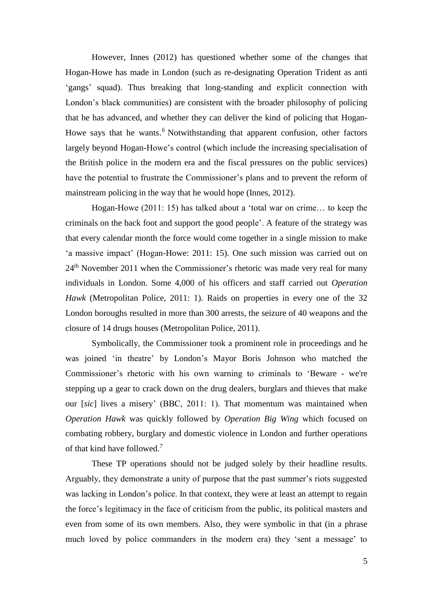However, Innes (2012) has questioned whether some of the changes that Hogan-Howe has made in London (such as re-designating Operation Trident as anti 'gangs' squad). Thus breaking that long-standing and explicit connection with London's black communities) are consistent with the broader philosophy of policing that he has advanced, and whether they can deliver the kind of policing that Hogan-Howe says that he wants.<sup>6</sup> Notwithstanding that apparent confusion, other factors largely beyond Hogan-Howe's control (which include the increasing specialisation of the British police in the modern era and the fiscal pressures on the public services) have the potential to frustrate the Commissioner's plans and to prevent the reform of mainstream policing in the way that he would hope (Innes, 2012).

Hogan-Howe (2011: 15) has talked about a 'total war on crime… to keep the criminals on the back foot and support the good people'. A feature of the strategy was that every calendar month the force would come together in a single mission to make 'a massive impact' (Hogan-Howe: 2011: 15). One such mission was carried out on 24th November 2011 when the Commissioner's rhetoric was made very real for many individuals in London. Some 4,000 of his officers and staff carried out *Operation Hawk* (Metropolitan Police, 2011: 1). Raids on properties in every one of the 32 London boroughs resulted in more than 300 arrests, the seizure of 40 weapons and the closure of 14 drugs houses (Metropolitan Police, 2011).

Symbolically, the Commissioner took a prominent role in proceedings and he was joined 'in theatre' by London's Mayor Boris Johnson who matched the Commissioner's rhetoric with his own warning to criminals to 'Beware - we're stepping up a gear to crack down on the drug dealers, burglars and thieves that make our [*sic*] lives a misery' (BBC, 2011: 1). That momentum was maintained when *Operation Hawk* was quickly followed by *Operation Big Wing* which focused on combating robbery, burglary and domestic violence in London and further operations of that kind have followed. 7

These TP operations should not be judged solely by their headline results. Arguably, they demonstrate a unity of purpose that the past summer's riots suggested was lacking in London's police. In that context, they were at least an attempt to regain the force's legitimacy in the face of criticism from the public, its political masters and even from some of its own members. Also, they were symbolic in that (in a phrase much loved by police commanders in the modern era) they 'sent a message' to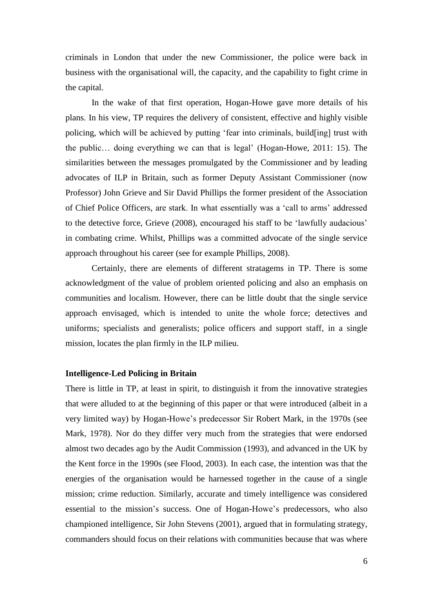criminals in London that under the new Commissioner, the police were back in business with the organisational will, the capacity, and the capability to fight crime in the capital.

In the wake of that first operation, Hogan-Howe gave more details of his plans. In his view, TP requires the delivery of consistent, effective and highly visible policing, which will be achieved by putting 'fear into criminals, build[ing] trust with the public… doing everything we can that is legal' (Hogan-Howe, 2011: 15). The similarities between the messages promulgated by the Commissioner and by leading advocates of ILP in Britain, such as former Deputy Assistant Commissioner (now Professor) John Grieve and Sir David Phillips the former president of the Association of Chief Police Officers, are stark. In what essentially was a 'call to arms' addressed to the detective force, Grieve (2008), encouraged his staff to be 'lawfully audacious' in combating crime. Whilst, Phillips was a committed advocate of the single service approach throughout his career (see for example Phillips, 2008).

Certainly, there are elements of different stratagems in TP. There is some acknowledgment of the value of problem oriented policing and also an emphasis on communities and localism. However, there can be little doubt that the single service approach envisaged, which is intended to unite the whole force; detectives and uniforms; specialists and generalists; police officers and support staff, in a single mission, locates the plan firmly in the ILP milieu.

# **Intelligence-Led Policing in Britain**

There is little in TP, at least in spirit, to distinguish it from the innovative strategies that were alluded to at the beginning of this paper or that were introduced (albeit in a very limited way) by Hogan-Howe's predecessor Sir Robert Mark, in the 1970s (see Mark, 1978). Nor do they differ very much from the strategies that were endorsed almost two decades ago by the Audit Commission (1993), and advanced in the UK by the Kent force in the 1990s (see Flood, 2003). In each case, the intention was that the energies of the organisation would be harnessed together in the cause of a single mission; crime reduction. Similarly, accurate and timely intelligence was considered essential to the mission's success. One of Hogan-Howe's predecessors, who also championed intelligence, Sir John Stevens (2001), argued that in formulating strategy, commanders should focus on their relations with communities because that was where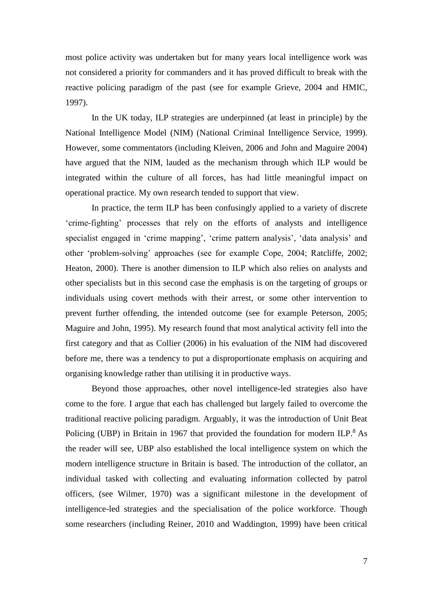most police activity was undertaken but for many years local intelligence work was not considered a priority for commanders and it has proved difficult to break with the reactive policing paradigm of the past (see for example Grieve, 2004 and HMIC, 1997).

In the UK today, ILP strategies are underpinned (at least in principle) by the National Intelligence Model (NIM) (National Criminal Intelligence Service, 1999). However, some commentators (including Kleiven, 2006 and John and Maguire 2004) have argued that the NIM, lauded as the mechanism through which ILP would be integrated within the culture of all forces, has had little meaningful impact on operational practice. My own research tended to support that view.

In practice, the term ILP has been confusingly applied to a variety of discrete 'crime-fighting' processes that rely on the efforts of analysts and intelligence specialist engaged in 'crime mapping', 'crime pattern analysis', 'data analysis' and other 'problem-solving' approaches (see for example Cope, 2004; Ratcliffe, 2002; Heaton, 2000). There is another dimension to ILP which also relies on analysts and other specialists but in this second case the emphasis is on the targeting of groups or individuals using covert methods with their arrest, or some other intervention to prevent further offending, the intended outcome (see for example Peterson, 2005; Maguire and John, 1995). My research found that most analytical activity fell into the first category and that as Collier (2006) in his evaluation of the NIM had discovered before me, there was a tendency to put a disproportionate emphasis on acquiring and organising knowledge rather than utilising it in productive ways.

Beyond those approaches, other novel intelligence-led strategies also have come to the fore. I argue that each has challenged but largely failed to overcome the traditional reactive policing paradigm. Arguably, it was the introduction of Unit Beat Policing (UBP) in Britain in 1967 that provided the foundation for modern ILP.<sup>8</sup> As the reader will see, UBP also established the local intelligence system on which the modern intelligence structure in Britain is based. The introduction of the collator, an individual tasked with collecting and evaluating information collected by patrol officers, (see Wilmer, 1970) was a significant milestone in the development of intelligence-led strategies and the specialisation of the police workforce. Though some researchers (including Reiner, 2010 and Waddington, 1999) have been critical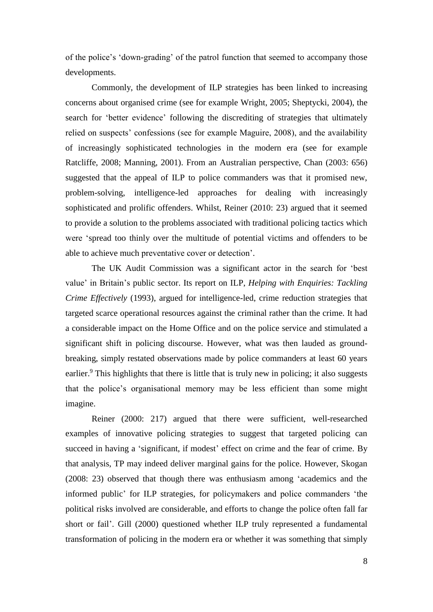of the police's 'down-grading' of the patrol function that seemed to accompany those developments.

Commonly, the development of ILP strategies has been linked to increasing concerns about organised crime (see for example Wright, 2005; Sheptycki, 2004), the search for 'better evidence' following the discrediting of strategies that ultimately relied on suspects' confessions (see for example Maguire, 2008), and the availability of increasingly sophisticated technologies in the modern era (see for example Ratcliffe, 2008; Manning, 2001). From an Australian perspective, Chan (2003: 656) suggested that the appeal of ILP to police commanders was that it promised new, problem-solving, intelligence-led approaches for dealing with increasingly sophisticated and prolific offenders. Whilst, Reiner (2010: 23) argued that it seemed to provide a solution to the problems associated with traditional policing tactics which were 'spread too thinly over the multitude of potential victims and offenders to be able to achieve much preventative cover or detection'.

The UK Audit Commission was a significant actor in the search for 'best value' in Britain's public sector. Its report on ILP, *Helping with Enquiries: Tackling Crime Effectively* (1993), argued for intelligence-led, crime reduction strategies that targeted scarce operational resources against the criminal rather than the crime. It had a considerable impact on the Home Office and on the police service and stimulated a significant shift in policing discourse. However, what was then lauded as groundbreaking, simply restated observations made by police commanders at least 60 years earlier.<sup>9</sup> This highlights that there is little that is truly new in policing; it also suggests that the police's organisational memory may be less efficient than some might imagine.

Reiner (2000: 217) argued that there were sufficient, well-researched examples of innovative policing strategies to suggest that targeted policing can succeed in having a 'significant, if modest' effect on crime and the fear of crime. By that analysis, TP may indeed deliver marginal gains for the police. However, Skogan (2008: 23) observed that though there was enthusiasm among 'academics and the informed public' for ILP strategies, for policymakers and police commanders 'the political risks involved are considerable, and efforts to change the police often fall far short or fail'. Gill (2000) questioned whether ILP truly represented a fundamental transformation of policing in the modern era or whether it was something that simply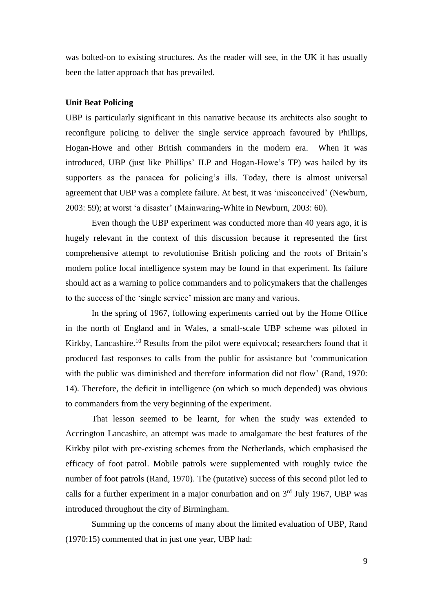was bolted-on to existing structures. As the reader will see, in the UK it has usually been the latter approach that has prevailed.

## **Unit Beat Policing**

UBP is particularly significant in this narrative because its architects also sought to reconfigure policing to deliver the single service approach favoured by Phillips, Hogan-Howe and other British commanders in the modern era. When it was introduced, UBP (just like Phillips' ILP and Hogan-Howe's TP) was hailed by its supporters as the panacea for policing's ills. Today, there is almost universal agreement that UBP was a complete failure. At best, it was 'misconceived' (Newburn, 2003: 59); at worst 'a disaster' (Mainwaring-White in Newburn, 2003: 60).

Even though the UBP experiment was conducted more than 40 years ago, it is hugely relevant in the context of this discussion because it represented the first comprehensive attempt to revolutionise British policing and the roots of Britain's modern police local intelligence system may be found in that experiment. Its failure should act as a warning to police commanders and to policymakers that the challenges to the success of the 'single service' mission are many and various.

In the spring of 1967, following experiments carried out by the Home Office in the north of England and in Wales, a small-scale UBP scheme was piloted in Kirkby, Lancashire.<sup>10</sup> Results from the pilot were equivocal; researchers found that it produced fast responses to calls from the public for assistance but 'communication with the public was diminished and therefore information did not flow' (Rand, 1970: 14). Therefore, the deficit in intelligence (on which so much depended) was obvious to commanders from the very beginning of the experiment.

That lesson seemed to be learnt, for when the study was extended to Accrington Lancashire, an attempt was made to amalgamate the best features of the Kirkby pilot with pre-existing schemes from the Netherlands, which emphasised the efficacy of foot patrol. Mobile patrols were supplemented with roughly twice the number of foot patrols (Rand, 1970). The (putative) success of this second pilot led to calls for a further experiment in a major conurbation and on  $3<sup>rd</sup>$  July 1967, UBP was introduced throughout the city of Birmingham.

Summing up the concerns of many about the limited evaluation of UBP, Rand (1970:15) commented that in just one year, UBP had: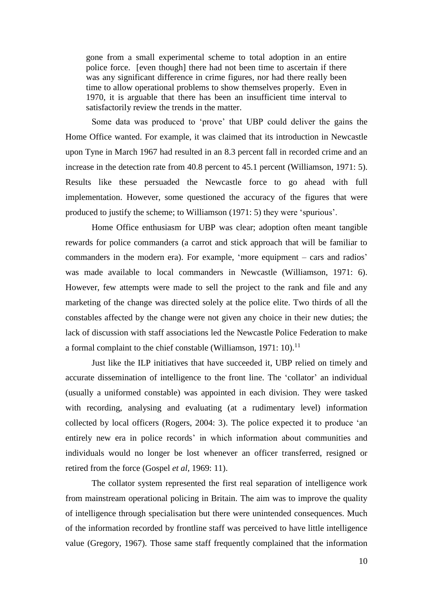gone from a small experimental scheme to total adoption in an entire police force. [even though] there had not been time to ascertain if there was any significant difference in crime figures, nor had there really been time to allow operational problems to show themselves properly. Even in 1970, it is arguable that there has been an insufficient time interval to satisfactorily review the trends in the matter.

Some data was produced to 'prove' that UBP could deliver the gains the Home Office wanted. For example, it was claimed that its introduction in Newcastle upon Tyne in March 1967 had resulted in an 8.3 percent fall in recorded crime and an increase in the detection rate from 40.8 percent to 45.1 percent (Williamson, 1971: 5). Results like these persuaded the Newcastle force to go ahead with full implementation. However, some questioned the accuracy of the figures that were produced to justify the scheme; to Williamson (1971: 5) they were 'spurious'.

Home Office enthusiasm for UBP was clear; adoption often meant tangible rewards for police commanders (a carrot and stick approach that will be familiar to commanders in the modern era). For example, 'more equipment – cars and radios' was made available to local commanders in Newcastle (Williamson, 1971: 6). However, few attempts were made to sell the project to the rank and file and any marketing of the change was directed solely at the police elite. Two thirds of all the constables affected by the change were not given any choice in their new duties; the lack of discussion with staff associations led the Newcastle Police Federation to make a formal complaint to the chief constable (Williamson, 1971: 10).<sup>11</sup>

Just like the ILP initiatives that have succeeded it, UBP relied on timely and accurate dissemination of intelligence to the front line. The 'collator' an individual (usually a uniformed constable) was appointed in each division. They were tasked with recording, analysing and evaluating (at a rudimentary level) information collected by local officers (Rogers, 2004: 3). The police expected it to produce 'an entirely new era in police records' in which information about communities and individuals would no longer be lost whenever an officer transferred, resigned or retired from the force (Gospel *et al,* 1969: 11).

The collator system represented the first real separation of intelligence work from mainstream operational policing in Britain. The aim was to improve the quality of intelligence through specialisation but there were unintended consequences. Much of the information recorded by frontline staff was perceived to have little intelligence value (Gregory, 1967). Those same staff frequently complained that the information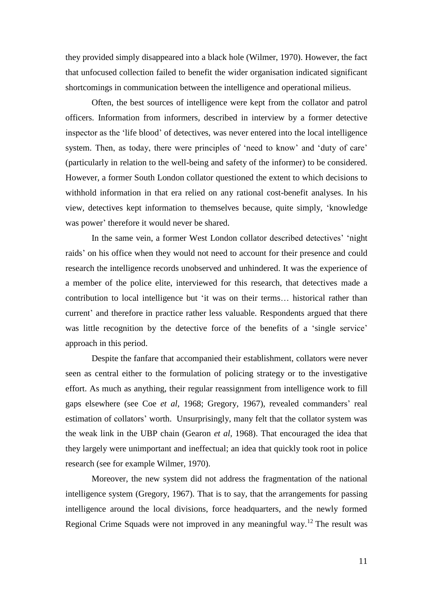they provided simply disappeared into a black hole (Wilmer, 1970). However, the fact that unfocused collection failed to benefit the wider organisation indicated significant shortcomings in communication between the intelligence and operational milieus.

Often, the best sources of intelligence were kept from the collator and patrol officers. Information from informers, described in interview by a former detective inspector as the 'life blood' of detectives, was never entered into the local intelligence system. Then, as today, there were principles of 'need to know' and 'duty of care' (particularly in relation to the well-being and safety of the informer) to be considered. However, a former South London collator questioned the extent to which decisions to withhold information in that era relied on any rational cost-benefit analyses. In his view, detectives kept information to themselves because, quite simply, 'knowledge was power' therefore it would never be shared.

In the same vein, a former West London collator described detectives' 'night raids' on his office when they would not need to account for their presence and could research the intelligence records unobserved and unhindered. It was the experience of a member of the police elite, interviewed for this research, that detectives made a contribution to local intelligence but 'it was on their terms… historical rather than current' and therefore in practice rather less valuable. Respondents argued that there was little recognition by the detective force of the benefits of a 'single service' approach in this period.

Despite the fanfare that accompanied their establishment, collators were never seen as central either to the formulation of policing strategy or to the investigative effort. As much as anything, their regular reassignment from intelligence work to fill gaps elsewhere (see Coe *et al,* 1968; Gregory, 1967), revealed commanders' real estimation of collators' worth. Unsurprisingly, many felt that the collator system was the weak link in the UBP chain (Gearon *et al,* 1968). That encouraged the idea that they largely were unimportant and ineffectual; an idea that quickly took root in police research (see for example Wilmer, 1970).

Moreover, the new system did not address the fragmentation of the national intelligence system (Gregory, 1967). That is to say, that the arrangements for passing intelligence around the local divisions, force headquarters, and the newly formed Regional Crime Squads were not improved in any meaningful way.<sup>12</sup> The result was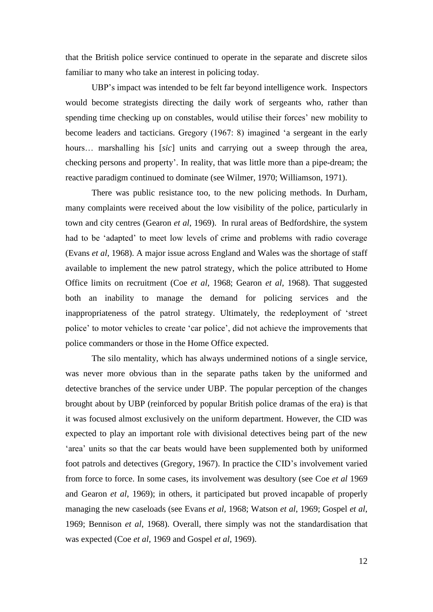that the British police service continued to operate in the separate and discrete silos familiar to many who take an interest in policing today.

UBP's impact was intended to be felt far beyond intelligence work. Inspectors would become strategists directing the daily work of sergeants who, rather than spending time checking up on constables, would utilise their forces' new mobility to become leaders and tacticians. Gregory (1967: 8) imagined 'a sergeant in the early hours… marshalling his [*sic*] units and carrying out a sweep through the area, checking persons and property'. In reality, that was little more than a pipe-dream; the reactive paradigm continued to dominate (see Wilmer, 1970; Williamson, 1971).

There was public resistance too, to the new policing methods. In Durham, many complaints were received about the low visibility of the police, particularly in town and city centres (Gearon *et al*, 1969). In rural areas of Bedfordshire, the system had to be 'adapted' to meet low levels of crime and problems with radio coverage (Evans *et al*, 1968). A major issue across England and Wales was the shortage of staff available to implement the new patrol strategy, which the police attributed to Home Office limits on recruitment (Coe *et al*, 1968; Gearon *et al*, 1968). That suggested both an inability to manage the demand for policing services and the inappropriateness of the patrol strategy. Ultimately, the redeployment of 'street police' to motor vehicles to create 'car police', did not achieve the improvements that police commanders or those in the Home Office expected.

The silo mentality, which has always undermined notions of a single service, was never more obvious than in the separate paths taken by the uniformed and detective branches of the service under UBP. The popular perception of the changes brought about by UBP (reinforced by popular British police dramas of the era) is that it was focused almost exclusively on the uniform department. However, the CID was expected to play an important role with divisional detectives being part of the new 'area' units so that the car beats would have been supplemented both by uniformed foot patrols and detectives (Gregory, 1967). In practice the CID's involvement varied from force to force. In some cases, its involvement was desultory (see Coe *et al* 1969 and Gearon *et al*, 1969); in others, it participated but proved incapable of properly managing the new caseloads (see Evans *et al,* 1968; Watson *et al*, 1969; Gospel *et al*, 1969; Bennison *et al*, 1968). Overall, there simply was not the standardisation that was expected (Coe *et al*, 1969 and Gospel *et al*, 1969).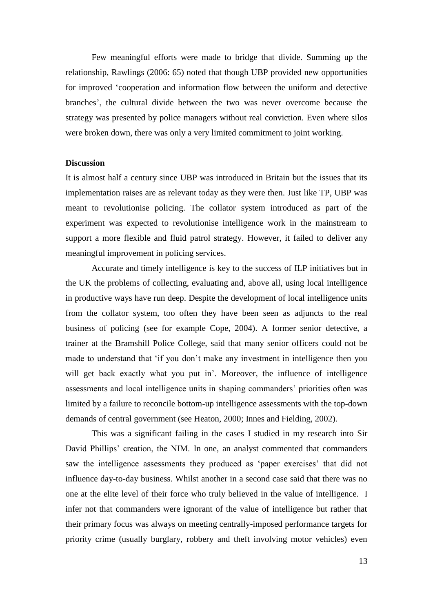Few meaningful efforts were made to bridge that divide. Summing up the relationship, Rawlings (2006: 65) noted that though UBP provided new opportunities for improved 'cooperation and information flow between the uniform and detective branches', the cultural divide between the two was never overcome because the strategy was presented by police managers without real conviction. Even where silos were broken down, there was only a very limited commitment to joint working.

# **Discussion**

It is almost half a century since UBP was introduced in Britain but the issues that its implementation raises are as relevant today as they were then. Just like TP, UBP was meant to revolutionise policing. The collator system introduced as part of the experiment was expected to revolutionise intelligence work in the mainstream to support a more flexible and fluid patrol strategy. However, it failed to deliver any meaningful improvement in policing services.

Accurate and timely intelligence is key to the success of ILP initiatives but in the UK the problems of collecting, evaluating and, above all, using local intelligence in productive ways have run deep. Despite the development of local intelligence units from the collator system, too often they have been seen as adjuncts to the real business of policing (see for example Cope, 2004). A former senior detective, a trainer at the Bramshill Police College, said that many senior officers could not be made to understand that 'if you don't make any investment in intelligence then you will get back exactly what you put in'. Moreover, the influence of intelligence assessments and local intelligence units in shaping commanders' priorities often was limited by a failure to reconcile bottom-up intelligence assessments with the top-down demands of central government (see Heaton, 2000; Innes and Fielding, 2002).

This was a significant failing in the cases I studied in my research into Sir David Phillips' creation, the NIM. In one, an analyst commented that commanders saw the intelligence assessments they produced as 'paper exercises' that did not influence day-to-day business. Whilst another in a second case said that there was no one at the elite level of their force who truly believed in the value of intelligence. I infer not that commanders were ignorant of the value of intelligence but rather that their primary focus was always on meeting centrally-imposed performance targets for priority crime (usually burglary, robbery and theft involving motor vehicles) even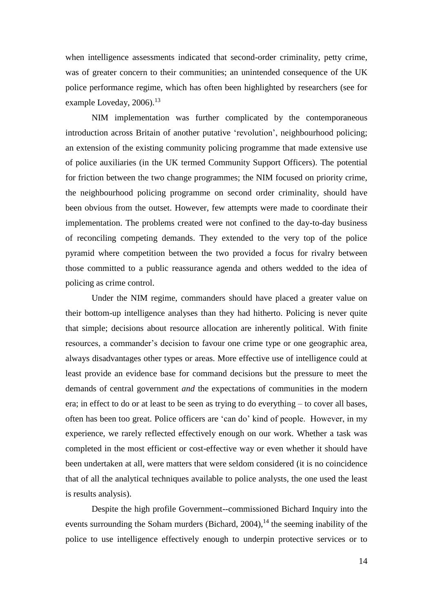when intelligence assessments indicated that second-order criminality, petty crime, was of greater concern to their communities; an unintended consequence of the UK police performance regime, which has often been highlighted by researchers (see for example Loveday, 2006).<sup>13</sup>

NIM implementation was further complicated by the contemporaneous introduction across Britain of another putative 'revolution', neighbourhood policing; an extension of the existing community policing programme that made extensive use of police auxiliaries (in the UK termed Community Support Officers). The potential for friction between the two change programmes; the NIM focused on priority crime, the neighbourhood policing programme on second order criminality, should have been obvious from the outset. However, few attempts were made to coordinate their implementation. The problems created were not confined to the day-to-day business of reconciling competing demands. They extended to the very top of the police pyramid where competition between the two provided a focus for rivalry between those committed to a public reassurance agenda and others wedded to the idea of policing as crime control.

Under the NIM regime, commanders should have placed a greater value on their bottom-up intelligence analyses than they had hitherto. Policing is never quite that simple; decisions about resource allocation are inherently political. With finite resources, a commander's decision to favour one crime type or one geographic area, always disadvantages other types or areas. More effective use of intelligence could at least provide an evidence base for command decisions but the pressure to meet the demands of central government *and* the expectations of communities in the modern era; in effect to do or at least to be seen as trying to do everything – to cover all bases, often has been too great. Police officers are 'can do' kind of people. However, in my experience, we rarely reflected effectively enough on our work. Whether a task was completed in the most efficient or cost-effective way or even whether it should have been undertaken at all, were matters that were seldom considered (it is no coincidence that of all the analytical techniques available to police analysts, the one used the least is results analysis).

Despite the high profile Government--commissioned Bichard Inquiry into the events surrounding the Soham murders (Bichard, 2004),<sup>14</sup> the seeming inability of the police to use intelligence effectively enough to underpin protective services or to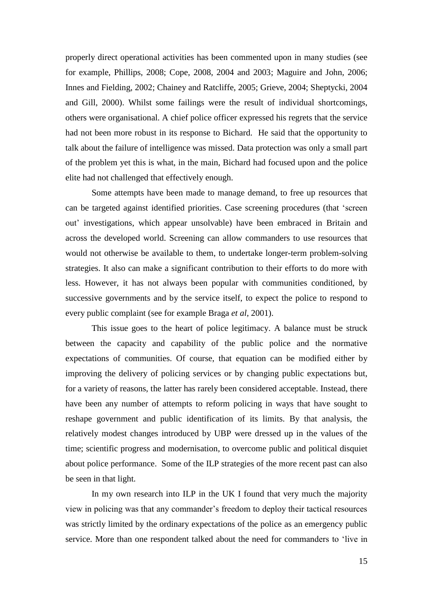properly direct operational activities has been commented upon in many studies (see for example, Phillips, 2008; Cope, 2008, 2004 and 2003; Maguire and John, 2006; Innes and Fielding, 2002; Chainey and Ratcliffe, 2005; Grieve, 2004; Sheptycki, 2004 and Gill, 2000). Whilst some failings were the result of individual shortcomings, others were organisational. A chief police officer expressed his regrets that the service had not been more robust in its response to Bichard. He said that the opportunity to talk about the failure of intelligence was missed. Data protection was only a small part of the problem yet this is what, in the main, Bichard had focused upon and the police elite had not challenged that effectively enough.

Some attempts have been made to manage demand, to free up resources that can be targeted against identified priorities. Case screening procedures (that 'screen out' investigations, which appear unsolvable) have been embraced in Britain and across the developed world. Screening can allow commanders to use resources that would not otherwise be available to them, to undertake longer-term problem-solving strategies. It also can make a significant contribution to their efforts to do more with less. However, it has not always been popular with communities conditioned, by successive governments and by the service itself, to expect the police to respond to every public complaint (see for example Braga *et al*, 2001).

This issue goes to the heart of police legitimacy. A balance must be struck between the capacity and capability of the public police and the normative expectations of communities. Of course, that equation can be modified either by improving the delivery of policing services or by changing public expectations but, for a variety of reasons, the latter has rarely been considered acceptable. Instead, there have been any number of attempts to reform policing in ways that have sought to reshape government and public identification of its limits. By that analysis, the relatively modest changes introduced by UBP were dressed up in the values of the time; scientific progress and modernisation, to overcome public and political disquiet about police performance. Some of the ILP strategies of the more recent past can also be seen in that light.

In my own research into ILP in the UK I found that very much the majority view in policing was that any commander's freedom to deploy their tactical resources was strictly limited by the ordinary expectations of the police as an emergency public service. More than one respondent talked about the need for commanders to 'live in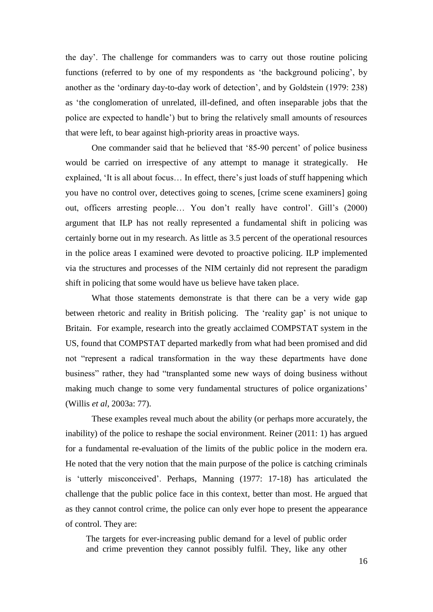the day'. The challenge for commanders was to carry out those routine policing functions (referred to by one of my respondents as 'the background policing', by another as the 'ordinary day-to-day work of detection', and by Goldstein (1979: 238) as 'the conglomeration of unrelated, ill-defined, and often inseparable jobs that the police are expected to handle') but to bring the relatively small amounts of resources that were left, to bear against high-priority areas in proactive ways.

One commander said that he believed that '85-90 percent' of police business would be carried on irrespective of any attempt to manage it strategically. He explained, 'It is all about focus… In effect, there's just loads of stuff happening which you have no control over, detectives going to scenes, [crime scene examiners] going out, officers arresting people… You don't really have control'. Gill's (2000) argument that ILP has not really represented a fundamental shift in policing was certainly borne out in my research. As little as 3.5 percent of the operational resources in the police areas I examined were devoted to proactive policing. ILP implemented via the structures and processes of the NIM certainly did not represent the paradigm shift in policing that some would have us believe have taken place.

What those statements demonstrate is that there can be a very wide gap between rhetoric and reality in British policing. The 'reality gap' is not unique to Britain. For example, research into the greatly acclaimed COMPSTAT system in the US, found that COMPSTAT departed markedly from what had been promised and did not "represent a radical transformation in the way these departments have done business" rather, they had "transplanted some new ways of doing business without making much change to some very fundamental structures of police organizations' (Willis *et al*, 2003a: 77).

These examples reveal much about the ability (or perhaps more accurately, the inability) of the police to reshape the social environment. Reiner (2011: 1) has argued for a fundamental re-evaluation of the limits of the public police in the modern era. He noted that the very notion that the main purpose of the police is catching criminals is 'utterly misconceived'. Perhaps, Manning (1977: 17-18) has articulated the challenge that the public police face in this context, better than most. He argued that as they cannot control crime, the police can only ever hope to present the appearance of control. They are:

The targets for ever-increasing public demand for a level of public order and crime prevention they cannot possibly fulfil. They, like any other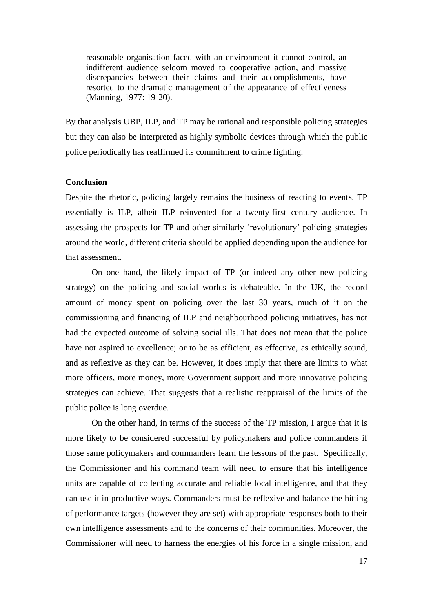reasonable organisation faced with an environment it cannot control, an indifferent audience seldom moved to cooperative action, and massive discrepancies between their claims and their accomplishments, have resorted to the dramatic management of the appearance of effectiveness (Manning, 1977: 19-20).

By that analysis UBP, ILP, and TP may be rational and responsible policing strategies but they can also be interpreted as highly symbolic devices through which the public police periodically has reaffirmed its commitment to crime fighting.

## **Conclusion**

Despite the rhetoric, policing largely remains the business of reacting to events. TP essentially is ILP, albeit ILP reinvented for a twenty-first century audience. In assessing the prospects for TP and other similarly 'revolutionary' policing strategies around the world, different criteria should be applied depending upon the audience for that assessment.

On one hand, the likely impact of TP (or indeed any other new policing strategy) on the policing and social worlds is debateable. In the UK, the record amount of money spent on policing over the last 30 years, much of it on the commissioning and financing of ILP and neighbourhood policing initiatives, has not had the expected outcome of solving social ills. That does not mean that the police have not aspired to excellence; or to be as efficient, as effective, as ethically sound, and as reflexive as they can be. However, it does imply that there are limits to what more officers, more money, more Government support and more innovative policing strategies can achieve. That suggests that a realistic reappraisal of the limits of the public police is long overdue.

On the other hand, in terms of the success of the TP mission, I argue that it is more likely to be considered successful by policymakers and police commanders if those same policymakers and commanders learn the lessons of the past. Specifically, the Commissioner and his command team will need to ensure that his intelligence units are capable of collecting accurate and reliable local intelligence, and that they can use it in productive ways. Commanders must be reflexive and balance the hitting of performance targets (however they are set) with appropriate responses both to their own intelligence assessments and to the concerns of their communities. Moreover, the Commissioner will need to harness the energies of his force in a single mission, and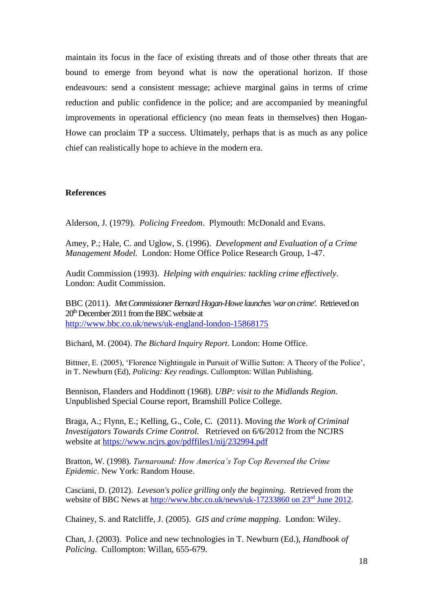maintain its focus in the face of existing threats and of those other threats that are bound to emerge from beyond what is now the operational horizon. If those endeavours: send a consistent message; achieve marginal gains in terms of crime reduction and public confidence in the police; and are accompanied by meaningful improvements in operational efficiency (no mean feats in themselves) then Hogan-Howe can proclaim TP a success. Ultimately, perhaps that is as much as any police chief can realistically hope to achieve in the modern era.

## **References**

Alderson, J. (1979). *Policing Freedom*. Plymouth: McDonald and Evans.

Amey, P.; Hale, C. and Uglow, S. (1996). *Development and Evaluation of a Crime Management Model.* London: Home Office Police Research Group, 1-47.

Audit Commission (1993). *Helping with enquiries: tackling crime effectively*. London: Audit Commission.

BBC (2011). *Met Commissioner Bernard Hogan-Howe launches 'war on crime'.* Retrieved on  $20<sup>th</sup>$  December 2011 from the BBC website at <http://www.bbc.co.uk/news/uk-england-london-15868175>

Bichard, M. (2004). *The Bichard Inquiry Report*. London: Home Office.

Bittner, E. (2005), 'Florence Nightingale in Pursuit of Willie Sutton: A Theory of the Police', in T. Newburn (Ed), *Policing: Key readings*. Cullompton: Willan Publishing.

Bennison, Flanders and Hoddinott (1968). *UBP: visit to the Midlands Region*. Unpublished Special Course report, Bramshill Police College.

Braga, A.; Flynn, E.; Kelling, G., Cole, C. (2011). Moving *the Work of Criminal Investigators Towards Crime Control.* Retrieved on 6/6/2012 from the NCJRS website at<https://www.ncjrs.gov/pdffiles1/nij/232994.pdf>

Bratton, W. (1998). *Turnaround: How America's Top Cop Reversed the Crime Epidemic*. New York: Random House.

Casciani, D. (2012). *Leveson's police grilling only the beginning.* Retrieved from the website of BBC News at [http://www.bbc.co.uk/news/uk-17233860 on 23](http://www.bbc.co.uk/news/uk-17233860%20on%2023rd%20June%202012)<sup>rd</sup> June 2012.

Chainey, S. and Ratcliffe, J. (2005). *GIS and crime mapping*. London: Wiley.

Chan, J. (2003). Police and new technologies in T. Newburn (Ed.), *Handbook of Policing.* Cullompton: Willan, 655-679.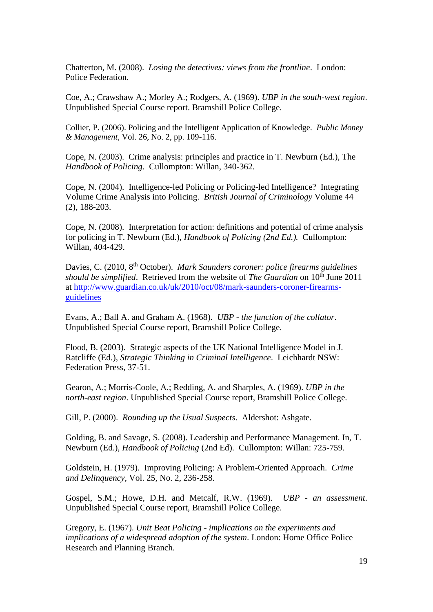Chatterton, M. (2008). *Losing the detectives: views from the frontline*. London: Police Federation.

Coe, A.; Crawshaw A.; Morley A.; Rodgers, A. (1969). *UBP in the south-west region*. Unpublished Special Course report. Bramshill Police College.

Collier, P. (2006). Policing and the Intelligent Application of Knowledge. *Public Money & Management*, Vol. 26, No. 2, pp. 109-116.

Cope, N. (2003). Crime analysis: principles and practice in T. Newburn (Ed.), The *Handbook of Policing*. Cullompton: Willan, 340-362.

Cope, N. (2004). Intelligence-led Policing or Policing-led Intelligence? Integrating Volume Crime Analysis into Policing. *British Journal of Criminology* Volume 44 (2), 188-203.

Cope, N. (2008). Interpretation for action: definitions and potential of crime analysis for policing in T. Newburn (Ed.), *Handbook of Policing (2nd Ed.).* Cullompton: Willan, 404-429.

Davies, C. (2010, 8th October). *Mark Saunders coroner: police firearms guidelines should be simplified.* Retrieved from the website of *The Guardian* on 10<sup>th</sup> June 2011 at [http://www.guardian.co.uk/uk/2010/oct/08/mark-saunders-coroner-firearms](http://www.guardian.co.uk/uk/2010/oct/08/mark-saunders-coroner-firearms-guidelines)[guidelines](http://www.guardian.co.uk/uk/2010/oct/08/mark-saunders-coroner-firearms-guidelines)

Evans, A.; Ball A. and Graham A. (1968). *UBP - the function of the collator*. Unpublished Special Course report, Bramshill Police College.

Flood, B. (2003). Strategic aspects of the UK National Intelligence Model in J. Ratcliffe (Ed.), *Strategic Thinking in Criminal Intelligence*. Leichhardt NSW: Federation Press, 37-51.

Gearon, A.; Morris-Coole, A.; Redding, A. and Sharples, A. (1969). *UBP in the north-east region*. Unpublished Special Course report, Bramshill Police College.

Gill, P. (2000). *Rounding up the Usual Suspects*. Aldershot: Ashgate.

Golding, B. and Savage, S. (2008). Leadership and Performance Management. In, T. Newburn (Ed.), *Handbook of Policing* (2nd Ed). Cullompton: Willan: 725-759.

Goldstein, H. (1979). Improving Policing: A Problem-Oriented Approach. *Crime and Delinquency*, Vol. 25, No. 2, 236-258.

Gospel, S.M.; Howe, D.H. and Metcalf, R.W. (1969). *UBP - an assessment*. Unpublished Special Course report, Bramshill Police College.

Gregory, E. (1967). *Unit Beat Policing - implications on the experiments and implications of a widespread adoption of the system*. London: Home Office Police Research and Planning Branch.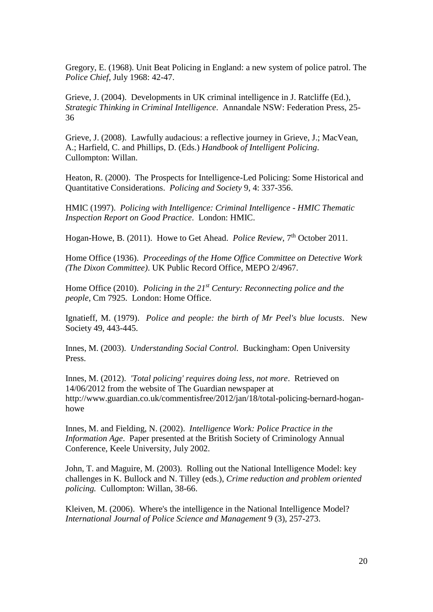Gregory, E. (1968). Unit Beat Policing in England: a new system of police patrol. The *Police Chief*, July 1968: 42-47.

Grieve, J. (2004). Developments in UK criminal intelligence in J. Ratcliffe (Ed.), *Strategic Thinking in Criminal Intelligence*. Annandale NSW: Federation Press, 25- 36

Grieve, J. (2008). Lawfully audacious: a reflective journey in Grieve, J.; MacVean, A.; Harfield, C. and Phillips, D. (Eds.) *Handbook of Intelligent Policing*. Cullompton: Willan.

Heaton, R. (2000). The Prospects for Intelligence-Led Policing: Some Historical and Quantitative Considerations. *Policing and Society* 9, 4: 337-356.

HMIC (1997). *Policing with Intelligence: Criminal Intelligence - HMIC Thematic Inspection Report on Good Practice*. London: HMIC.

Hogan-Howe, B. (2011). Howe to Get Ahead. *Police Review*, 7<sup>th</sup> October 2011.

Home Office (1936). *Proceedings of the Home Office Committee on Detective Work (The Dixon Committee)*. UK Public Record Office, MEPO 2/4967.

Home Office (2010). *Policing in the 21st Century: Reconnecting police and the people,* Cm 7925. London: Home Office.

Ignatieff, M. (1979). *Police and people: the birth of Mr Peel's blue locusts*. New Society 49, 443-445.

Innes, M. (2003). *Understanding Social Control.* Buckingham: Open University Press.

Innes, M. (2012). *'Total policing' requires doing less, not more*. Retrieved on 14/06/2012 from the website of The Guardian newspaper at http://www.guardian.co.uk/commentisfree/2012/jan/18/total-policing-bernard-hoganhowe

Innes, M. and Fielding, N. (2002). *Intelligence Work: Police Practice in the Information Age*. Paper presented at the British Society of Criminology Annual Conference, Keele University, July 2002.

John, T. and Maguire, M. (2003). Rolling out the National Intelligence Model: key challenges in K. Bullock and N. Tilley (eds.), *Crime reduction and problem oriented policing.* Cullompton: Willan, 38-66.

Kleiven, M. (2006). Where's the intelligence in the National Intelligence Model? *International Journal of Police Science and Management* 9 (3), 257-273.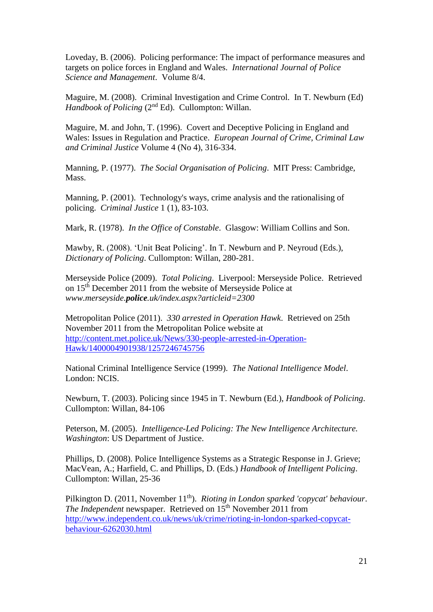Loveday, B. (2006). Policing performance: The impact of performance measures and targets on police forces in England and Wales. *International Journal of Police Science and Management*. Volume 8/4.

Maguire, M. (2008). Criminal Investigation and Crime Control. In T. Newburn (Ed) Handbook of Policing (2<sup>nd</sup> Ed). Cullompton: Willan.

Maguire, M. and John, T. (1996). Covert and Deceptive Policing in England and Wales: Issues in Regulation and Practice. *European Journal of Crime, Criminal Law and Criminal Justice* Volume 4 (No 4), 316-334.

Manning, P. (1977). *The Social Organisation of Policing*. MIT Press: Cambridge, Mass.

Manning, P. (2001). Technology's ways, crime analysis and the rationalising of policing. *Criminal Justice* 1 (1), 83-103.

Mark, R. (1978). *In the Office of Constable*. Glasgow: William Collins and Son.

Mawby, R. (2008). 'Unit Beat Policing'. In T. Newburn and P. Neyroud (Eds.), *Dictionary of Policing*. Cullompton: Willan, 280-281.

Merseyside Police (2009). *Total Policing*. Liverpool: Merseyside Police. Retrieved on 15th December 2011 from the website of Merseyside Police at *www.merseyside.police.uk/index.aspx?articleid=2300*

Metropolitan Police (2011). *330 arrested in Operation Hawk*. Retrieved on 25th November 2011 from the Metropolitan Police website at [http://content.met.police.uk/News/330-people-arrested-in-Operation-](http://content.met.police.uk/News/330-people-arrested-in-Operation-Hawk/1400004901938/1257246745756)[Hawk/1400004901938/1257246745756](http://content.met.police.uk/News/330-people-arrested-in-Operation-Hawk/1400004901938/1257246745756)

National Criminal Intelligence Service (1999). *The National Intelligence Model*. London: NCIS.

Newburn, T. (2003). Policing since 1945 in T. Newburn (Ed.), *Handbook of Policing*. Cullompton: Willan, 84-106

Peterson, M. (2005). *Intelligence-Led Policing: The New Intelligence Architecture. Washington*: US Department of Justice.

Phillips, D. (2008). Police Intelligence Systems as a Strategic Response in J. Grieve; MacVean, A.; Harfield, C. and Phillips, D. (Eds.) *Handbook of Intelligent Policing*. Cullompton: Willan, 25-36

Pilkington D. (2011, November 11<sup>th</sup>). *Rioting in London sparked 'copycat' behaviour*. *The Independent* newspaper. Retrieved on 15<sup>th</sup> November 2011 from [http://www.independent.co.uk/news/uk/crime/rioting-in-london-sparked-copycat](http://www.independent.co.uk/news/uk/crime/rioting-in-london-sparked-copycat-behaviour-6262030.html)[behaviour-6262030.html](http://www.independent.co.uk/news/uk/crime/rioting-in-london-sparked-copycat-behaviour-6262030.html)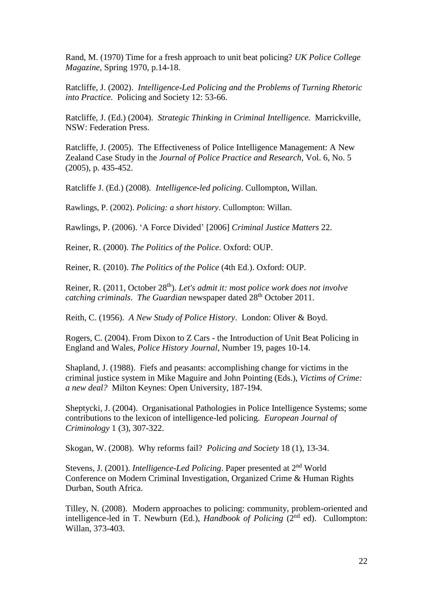Rand, M. (1970) Time for a fresh approach to unit beat policing? *UK Police College Magazine*, Spring 1970, p.14-18.

Ratcliffe, J. (2002). *Intelligence-Led Policing and the Problems of Turning Rhetoric into Practice*. Policing and Society 12: 53-66.

Ratcliffe, J. (Ed.) (2004). *Strategic Thinking in Criminal Intelligence.* Marrickville, NSW: Federation Press.

Ratcliffe, J. (2005). The Effectiveness of Police Intelligence Management: A New Zealand Case Study in the *Journal of Police Practice and Research*, Vol. 6, No. 5 (2005), p. 435-452.

Ratcliffe J. (Ed.) (2008). *Intelligence-led policing*. Cullompton, Willan.

Rawlings, P. (2002). *Policing: a short history*. Cullompton: Willan.

Rawlings, P. (2006). 'A Force Divided' [2006] *Criminal Justice Matters* 22.

Reiner, R. (2000). *The Politics of the Police*. Oxford: OUP.

Reiner, R. (2010). *The Politics of the Police* (4th Ed.). Oxford: OUP.

Reiner, R. (2011, October 28<sup>th</sup>). *Let's admit it: most police work does not involve catching criminals. The Guardian* newspaper dated 28<sup>th</sup> October 2011.

Reith, C. (1956). *A New Study of Police History*. London: Oliver & Boyd.

Rogers, C. (2004). From Dixon to Z Cars - the Introduction of Unit Beat Policing in England and Wales, *Police History Journal*, Number 19, pages 10-14.

Shapland, J. (1988). Fiefs and peasants: accomplishing change for victims in the criminal justice system in Mike Maguire and John Pointing (Eds.), *Victims of Crime: a new deal?* Milton Keynes: Open University, 187-194.

Sheptycki, J. (2004). Organisational Pathologies in Police Intelligence Systems; some contributions to the lexicon of intelligence-led policing. *European Journal of Criminology* 1 (3), 307-322.

Skogan, W. (2008). Why reforms fail? *Policing and Society* 18 (1), 13-34.

Stevens, J. (2001). *Intelligence-Led Policing*. Paper presented at 2nd World Conference on Modern Criminal Investigation, Organized Crime & Human Rights Durban, South Africa.

Tilley, N. (2008). Modern approaches to policing: community, problem-oriented and intelligence-led in T. Newburn (Ed.), *Handbook of Policing* (2<sup>nd</sup> ed). Cullompton: Willan, 373-403.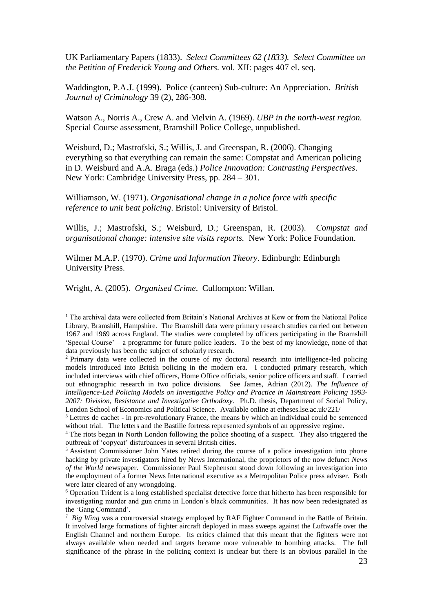UK Parliamentary Papers (1833). *Select Committees 62 (1833). Select Committee on the Petition of Frederick Young and Others.* vol. XII: pages 407 el. seq.

Waddington, P.A.J. (1999). Police (canteen) Sub-culture: An Appreciation. *British Journal of Criminology* 39 (2), 286-308.

Watson A., Norris A., Crew A. and Melvin A. (1969). *UBP in the north-west region.* Special Course assessment, Bramshill Police College, unpublished.

Weisburd, D.; Mastrofski, S.; Willis, J. and Greenspan, R. (2006). Changing everything so that everything can remain the same: Compstat and American policing in D. Weisburd and A.A. Braga (eds.) *Police Innovation: Contrasting Perspectives*. New York: Cambridge University Press, pp. 284 – 301.

Williamson, W. (1971). *Organisational change in a police force with specific reference to unit beat policing*. Bristol: University of Bristol.

Willis, J.; Mastrofski, S.; Weisburd, D.; Greenspan, R. (2003). *Compstat and organisational change: intensive site visits reports.* New York: Police Foundation.

Wilmer M.A.P. (1970). *Crime and Information Theory*. Edinburgh: Edinburgh University Press.

Wright, A. (2005). *Organised Crime*. Cullompton: Willan.

1

<sup>&</sup>lt;sup>1</sup> The archival data were collected from Britain's National Archives at Kew or from the National Police Library, Bramshill, Hampshire. The Bramshill data were primary research studies carried out between 1967 and 1969 across England. The studies were completed by officers participating in the Bramshill 'Special Course' – a programme for future police leaders. To the best of my knowledge, none of that data previously has been the subject of scholarly research.

<sup>2</sup> Primary data were collected in the course of my doctoral research into intelligence-led policing models introduced into British policing in the modern era. I conducted primary research, which included interviews with chief officers, Home Office officials, senior police officers and staff. I carried out ethnographic research in two police divisions. See James, Adrian (2012). *The Influence of Intelligence-Led Policing Models on Investigative Policy and Practice in Mainstream Policing 1993- 2007: Division, Resistance and Investigative Orthodoxy*. Ph.D. thesis, Department of Social Policy, London School of Economics and Political Science. Available online at etheses.lse.ac.uk/221/

<sup>&</sup>lt;sup>3</sup> Lettres de cachet - in pre-revolutionary France, the means by which an individual could be sentenced without trial. The letters and the Bastille fortress represented symbols of an oppressive regime.

<sup>4</sup> The riots began in North London following the police shooting of a suspect. They also triggered the outbreak of 'copycat' disturbances in several British cities.

<sup>5</sup> Assistant Commissioner John Yates retired during the course of a police investigation into phone hacking by private investigators hired by News International, the proprietors of the now defunct *News of the World* newspaper. Commissioner Paul Stephenson stood down following an investigation into the employment of a former News International executive as a Metropolitan Police press adviser. Both were later cleared of any wrongdoing.

<sup>6</sup> Operation Trident is a long established specialist detective force that hitherto has been responsible for investigating murder and gun crime in London's black communities. It has now been redesignated as the 'Gang Command'.

<sup>7</sup> *Big Wing* was a controversial strategy employed by RAF Fighter Command in the Battle of Britain. It involved large formations of fighter aircraft deployed in mass sweeps against the Luftwaffe over the English Channel and northern Europe. Its critics claimed that this meant that the fighters were not always available when needed and targets became more vulnerable to bombing attacks. The full significance of the phrase in the policing context is unclear but there is an obvious parallel in the